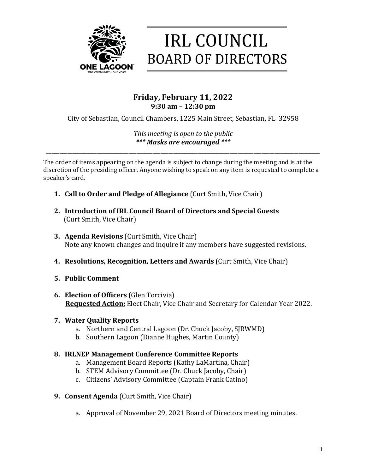

# **IRL COUNCIL BOARD OF DIRECTORS**

# **Friday, February 11, 2022 9:30 am – 12:30 pm**

City of Sebastian, Council Chambers, 1225 Main Street, Sebastian, FL 32958

*This meeting is open to the public \*\*\* Masks are encouraged \*\*\**

\_\_\_\_\_\_\_\_\_\_\_\_\_\_\_\_\_\_\_\_\_\_\_\_\_\_\_\_\_\_\_\_\_\_\_\_\_\_\_\_\_\_\_\_\_\_\_\_\_\_\_\_\_\_\_\_\_\_\_\_\_\_\_\_\_\_\_\_\_\_\_\_\_\_\_\_\_\_\_\_\_\_\_\_\_\_\_\_\_\_\_\_\_\_\_\_\_\_\_\_\_\_\_

The order of items appearing on the agenda is subject to change during the meeting and is at the discretion of the presiding officer. Anyone wishing to speak on any item is requested to complete a speaker's card.

- **1. Call to Order and Pledge of Allegiance** (Curt Smith, Vice Chair)
- 2. Introduction of IRL Council Board of Directors and Special Guests (Curt Smith, Vice Chair)
- **3. Agenda Revisions** (Curt Smith, Vice Chair) Note any known changes and inquire if any members have suggested revisions.
- **4. Resolutions, Recognition, Letters and Awards** (Curt Smith, Vice Chair)
- **5. Public Comment**
- **6. Election of Officers** (Glen Torcivia) **Requested Action:** Elect Chair, Vice Chair and Secretary for Calendar Year 2022.

#### **7. Water Quality Reports**

- a. Northern and Central Lagoon (Dr. Chuck Jacoby, SJRWMD)
- b. Southern Lagoon (Dianne Hughes, Martin County)

## **8. IRLNEP Management Conference Committee Reports**

- a. Management Board Reports (Kathy LaMartina, Chair)
- b. STEM Advisory Committee (Dr. Chuck Jacoby, Chair)
- c. Citizens' Advisory Committee (Captain Frank Catino)
- **9. Consent Agenda** (Curt Smith, Vice Chair)
	- a. Approval of November 29, 2021 Board of Directors meeting minutes.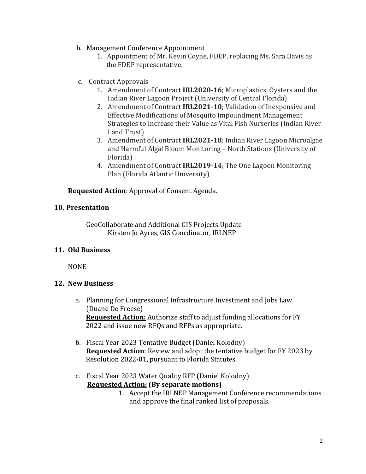- b. Management Conference Appointment
	- 1. Appointment of Mr. Kevin Coyne, FDEP, replacing Ms. Sara Davis as the FDEP representative.
- c. Contract Approvals
	- 1. Amendment of Contract **IRL2020-16**; Microplastics, Oysters and the Indian River Lagoon Project (University of Central Florida)
	- 2. Amendment of Contract IRL2021-10; Validation of Inexpensive and Effective Modifications of Mosquito Impoundment Management Strategies to Increase their Value as Vital Fish Nurseries (Indian River Land Trust)
	- 3. Amendment of Contract **IRL2021-18**; Indian River Lagoon Microalgae and Harmful Algal Bloom Monitoring - North Stations (University of Florida)
	- 4. Amendment of Contract IRL2019-14; The One Lagoon Monitoring Plan (Florida Atlantic University)

#### **Requested Action:** Approval of Consent Agenda.

#### **10. Presentation**

GeoCollaborate and Additional GIS Projects Update Kirsten Jo Ayres, GIS Coordinator, IRLNEP

#### **11. Old Business**

NONE

#### **12. New Business**

- a. Planning for Congressional Infrastructure Investment and Jobs Law (Duane De Freese) **Requested Action:** Authorize staff to adjust funding allocations for FY 2022 and issue new RFQs and RFPs as appropriate.
- b. Fiscal Year 2023 Tentative Budget (Daniel Kolodny) **Requested Action**: Review and adopt the tentative budget for FY 2023 by Resolution 2022-01, pursuant to Florida Statutes.
- c. Fiscal Year 2023 Water Quality RFP (Daniel Kolodny) **Requested Action: (By separate motions)** 
	- 1. Accept the IRLNEP Management Conference recommendations and approve the final ranked list of proposals.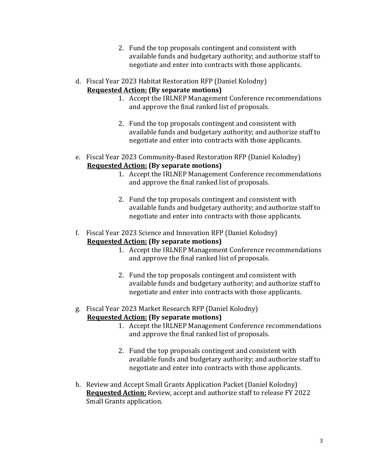- 2. Fund the top proposals contingent and consistent with available funds and budgetary authority; and authorize staff to negotiate and enter into contracts with those applicants.
- d. Fiscal Year 2023 Habitat Restoration RFP (Daniel Kolodny) **Requested Action:** (By separate motions)
	- 1. Accept the IRLNEP Management Conference recommendations and approve the final ranked list of proposals.
	- 2. Fund the top proposals contingent and consistent with available funds and budgetary authority; and authorize staff to negotiate and enter into contracts with those applicants.
- e. Fiscal Year 2023 Community-Based Restoration RFP (Daniel Kolodny) **Requested Action: (By separate motions)** 
	- 1. Accept the IRLNEP Management Conference recommendations and approve the final ranked list of proposals.
	- 2. Fund the top proposals contingent and consistent with available funds and budgetary authority; and authorize staff to negotiate and enter into contracts with those applicants.
- f. Fiscal Year 2023 Science and Innovation RFP (Daniel Kolodny) **Requested Action: (By separate motions)** 
	- 1. Accept the IRLNEP Management Conference recommendations and approve the final ranked list of proposals.
	- 2. Fund the top proposals contingent and consistent with available funds and budgetary authority; and authorize staff to negotiate and enter into contracts with those applicants.
- g. Fiscal Year 2023 Market Research RFP (Daniel Kolodny) **Requested Action: (By separate motions)** 
	- 1. Accept the IRLNEP Management Conference recommendations and approve the final ranked list of proposals.
	- 2. Fund the top proposals contingent and consistent with available funds and budgetary authority; and authorize staff to negotiate and enter into contracts with those applicants.
- h. Review and Accept Small Grants Application Packet (Daniel Kolodny) **Requested Action:** Review, accept and authorize staff to release FY 2022 Small Grants application.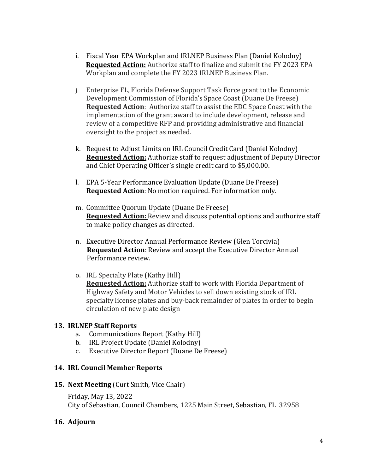- i. Fiscal Year EPA Workplan and IRLNEP Business Plan (Daniel Kolodny) **Requested Action:** Authorize staff to finalize and submit the FY 2023 EPA Workplan and complete the FY 2023 IRLNEP Business Plan.
- j. Enterprise FL, Florida Defense Support Task Force grant to the Economic Development Commission of Florida's Space Coast (Duane De Freese) **Requested Action**: Authorize staff to assist the EDC Space Coast with the implementation of the grant award to include development, release and review of a competitive RFP and providing administrative and financial oversight to the project as needed.
- k. Request to Adjust Limits on IRL Council Credit Card (Daniel Kolodny) **Requested Action:** Authorize staff to request adjustment of Deputy Director and Chief Operating Officer's single credit card to \$5,000.00.
- l. EPA 5-Year Performance Evaluation Update (Duane De Freese) **Requested Action:** No motion required. For information only.
- m. Committee Quorum Update (Duane De Freese) **Requested Action:** Review and discuss potential options and authorize staff to make policy changes as directed.
- n. Executive Director Annual Performance Review (Glen Torcivia) **Requested Action:** Review and accept the Executive Director Annual Performance review.
- o. IRL Specialty Plate (Kathy Hill) **Requested Action:** Authorize staff to work with Florida Department of Highway Safety and Motor Vehicles to sell down existing stock of IRL specialty license plates and buy-back remainder of plates in order to begin circulation of new plate design

## **13. IRLNEP Staff Reports**

- a. Communications Report (Kathy Hill)
- b. IRL Project Update (Daniel Kolodny)
- c. Executive Director Report (Duane De Freese)

#### **14. IRL Council Member Reports**

#### **15. Next Meeting** (Curt Smith, Vice Chair)

Friday, May 13, 2022 City of Sebastian, Council Chambers, 1225 Main Street, Sebastian, FL 32958

#### **16. Adjourn**